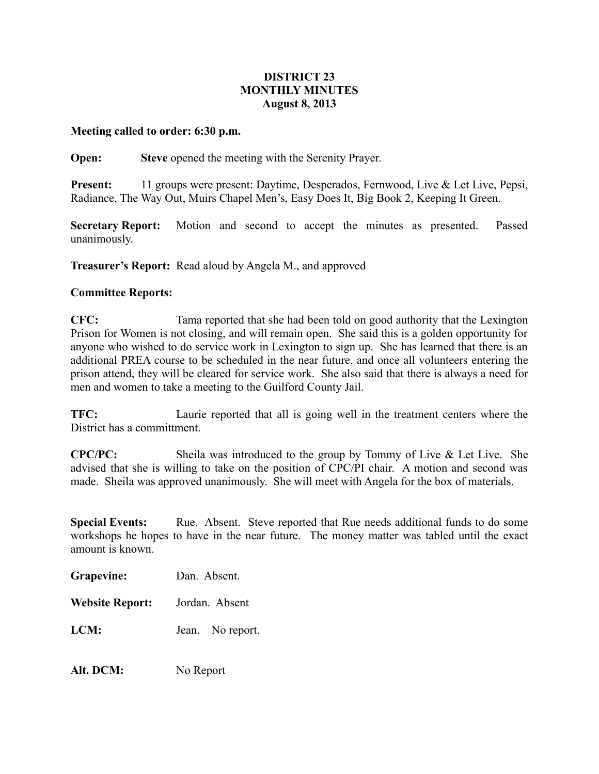## **DISTRICT 23 MONTHLY MINUTES August 8, 2013**

## **Meeting called to order: 6:30 p.m.**

**Open: Steve** opened the meeting with the Serenity Prayer.

**Present:** 11 groups were present: Daytime, Desperados, Fernwood, Live & Let Live, Pepsi, Radiance, The Way Out, Muirs Chapel Men's, Easy Does It, Big Book 2, Keeping It Green.

**Secretary Report:** Motion and second to accept the minutes as presented. Passed unanimously.

**Treasurer's Report:** Read aloud by Angela M., and approved

## **Committee Reports:**

**CFC:** Tama reported that she had been told on good authority that the Lexington Prison for Women is not closing, and will remain open. She said this is a golden opportunity for anyone who wished to do service work in Lexington to sign up. She has learned that there is an additional PREA course to be scheduled in the near future, and once all volunteers entering the prison attend, they will be cleared for service work. She also said that there is always a need for men and women to take a meeting to the Guilford County Jail.

**TFC:** Laurie reported that all is going well in the treatment centers where the District has a committment.

**CPC/PC:** Sheila was introduced to the group by Tommy of Live & Let Live. She advised that she is willing to take on the position of CPC/PI chair. A motion and second was made. Sheila was approved unanimously. She will meet with Angela for the box of materials.

**Special Events:** Rue. Absent. Steve reported that Rue needs additional funds to do some workshops he hopes to have in the near future. The money matter was tabled until the exact amount is known.

| <b>Grapevine:</b> | Dan. Absent. |
|-------------------|--------------|
|-------------------|--------------|

**Website Report:** Jordan. Absent

**LCM:** Jean. No report.

Alt. DCM: No Report